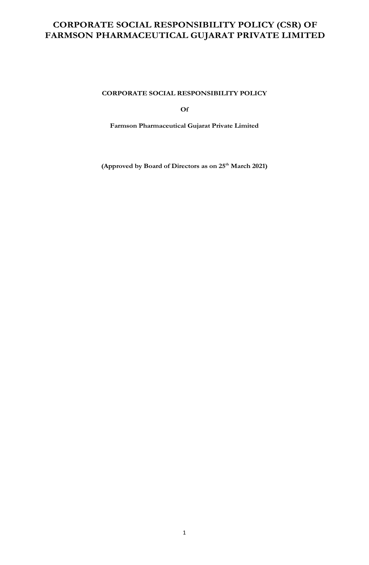**CORPORATE SOCIAL RESPONSIBILITY POLICY** 

**Of** 

**Farmson Pharmaceutical Gujarat Private Limited** 

**(Approved by Board of Directors as on 25th March 2021)**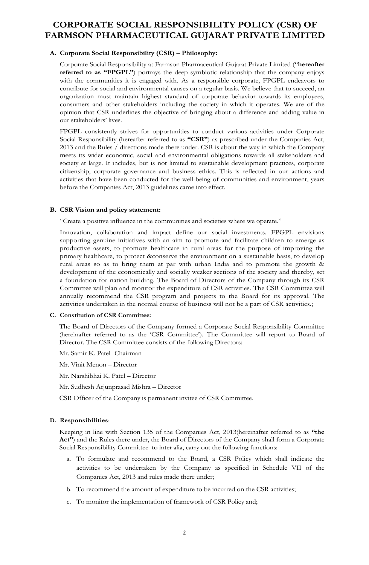#### **A. Corporate Social Responsibility (CSR) – Philosophy:**

Corporate Social Responsibility at Farmson Pharmaceutical Gujarat Private Limited ("**hereafter referred to as "FPGPL"**) portrays the deep symbiotic relationship that the company enjoys with the communities it is engaged with. As a responsible corporate, FPGPL endeavors to contribute for social and environmental causes on a regular basis. We believe that to succeed, an organization must maintain highest standard of corporate behavior towards its employees, consumers and other stakeholders including the society in which it operates. We are of the opinion that CSR underlines the objective of bringing about a difference and adding value in our stakeholders' lives.

FPGPL consistently strives for opportunities to conduct various activities under Corporate Social Responsibility (hereafter referred to as **"CSR"**) as prescribed under the Companies Act, 2013 and the Rules / directions made there under. CSR is about the way in which the Company meets its wider economic, social and environmental obligations towards all stakeholders and society at large. It includes, but is not limited to sustainable development practices, corporate citizenship, corporate governance and business ethics. This is reflected in our actions and activities that have been conducted for the well-being of communities and environment, years before the Companies Act, 2013 guidelines came into effect.

#### **B. CSR Vision and policy statement:**

"Create a positive influence in the communities and societies where we operate."

Innovation, collaboration and impact define our social investments. FPGPL envisions supporting genuine initiatives with an aim to promote and facilitate children to emerge as productive assets, to promote healthcare in rural areas for the purpose of improving the primary healthcare, to protect &conserve the environment on a sustainable basis, to develop rural areas so as to bring them at par with urban India and to promote the growth & development of the economically and socially weaker sections of the society and thereby, set a foundation for nation building. The Board of Directors of the Company through its CSR Committee will plan and monitor the expenditure of CSR activities. The CSR Committee will annually recommend the CSR program and projects to the Board for its approval. The activities undertaken in the normal course of business will not be a part of CSR activities.;

#### **C. Constitution of CSR Committee:**

The Board of Directors of the Company formed a Corporate Social Responsibility Committee (hereinafter referred to as the 'CSR Committee'). The Committee will report to Board of Director. The CSR Committee consists of the following Directors:

Mr. Samir K. Patel- Chairman

Mr. Vinit Menon – Director

Mr. Narshibhai K. Patel – Director

Mr. Sudhesh Arjunprasad Mishra – Director

CSR Officer of the Company is permanent invitee of CSR Committee.

#### **D. Responsibilities**:

Keeping in line with Section 135 of the Companies Act, 2013(hereinafter referred to as **"the**  Act") and the Rules there under, the Board of Directors of the Company shall form a Corporate Social Responsibility Committee to inter alia, carry out the following functions:

- a. To formulate and recommend to the Board, a CSR Policy which shall indicate the activities to be undertaken by the Company as specified in Schedule VII of the Companies Act, 2013 and rules made there under;
- b. To recommend the amount of expenditure to be incurred on the CSR activities;
- c. To monitor the implementation of framework of CSR Policy and;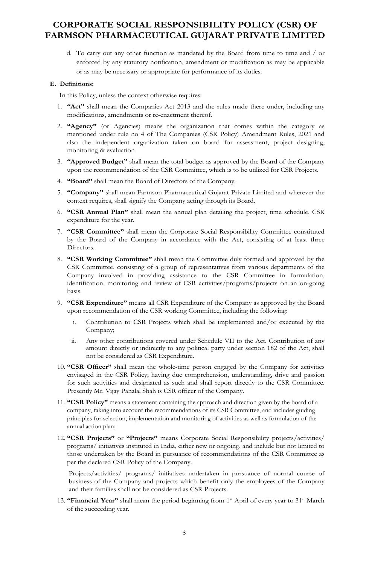d. To carry out any other function as mandated by the Board from time to time and / or enforced by any statutory notification, amendment or modification as may be applicable or as may be necessary or appropriate for performance of its duties.

### **E. Definitions:**

In this Policy, unless the context otherwise requires:

- 1. **"Act"** shall mean the Companies Act 2013 and the rules made there under, including any modifications, amendments or re-enactment thereof.
- 2. **"Agency"** (or Agencies) means the organization that comes within the category as mentioned under rule no 4 of The Companies (CSR Policy) Amendment Rules, 2021 and also the independent organization taken on board for assessment, project designing, monitoring & evaluation
- 3. **"Approved Budget"** shall mean the total budget as approved by the Board of the Company upon the recommendation of the CSR Committee, which is to be utilized for CSR Projects.
- 4. **"Board"** shall mean the Board of Directors of the Company.
- 5. **"Company"** shall mean Farmson Pharmaceutical Gujarat Private Limited and wherever the context requires, shall signify the Company acting through its Board.
- 6. **"CSR Annual Plan"** shall mean the annual plan detailing the project, time schedule, CSR expenditure for the year.
- 7. **"CSR Committee"** shall mean the Corporate Social Responsibility Committee constituted by the Board of the Company in accordance with the Act, consisting of at least three Directors.
- 8. **"CSR Working Committee"** shall mean the Committee duly formed and approved by the CSR Committee, consisting of a group of representatives from various departments of the Company involved in providing assistance to the CSR Committee in formulation, identification, monitoring and review of CSR activities/programs/projects on an on-going basis.
- 9. **"CSR Expenditure"** means all CSR Expenditure of the Company as approved by the Board upon recommendation of the CSR working Committee, including the following:
	- i. Contribution to CSR Projects which shall be implemented and/or executed by the Company;
	- ii. Any other contributions covered under Schedule VII to the Act. Contribution of any amount directly or indirectly to any political party under section 182 of the Act, shall not be considered as CSR Expenditure.
- 10. **"CSR Officer"** shall mean the whole-time person engaged by the Company for activities envisaged in the CSR Policy; having due comprehension, understanding, drive and passion for such activities and designated as such and shall report directly to the CSR Committee. Presently Mr. Vijay Panalal Shah is CSR officer of the Company.
- 11. **"CSR Policy"** means a statement containing the approach and direction given by the board of a company, taking into account the recommendations of its CSR Committee, and includes guiding principles for selection, implementation and monitoring of activities as well as formulation of the annual action plan;
- 12. **"CSR Projects"** or **"Projects"** means Corporate Social Responsibility projects/activities/ programs/ initiatives instituted in India, either new or ongoing, and include but not limited to those undertaken by the Board in pursuance of recommendations of the CSR Committee as per the declared CSR Policy of the Company.

Projects/activities/ programs/ initiatives undertaken in pursuance of normal course of business of the Company and projects which benefit only the employees of the Company and their families shall not be considered as CSR Projects.

13. **"Financial Year"** shall mean the period beginning from 1st April of every year to 31st March of the succeeding year.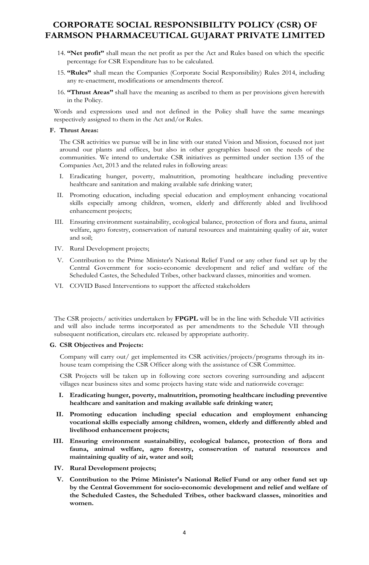- 14. **"Net profit"** shall mean the net profit as per the Act and Rules based on which the specific percentage for CSR Expenditure has to be calculated.
- 15. **"Rules"** shall mean the Companies (Corporate Social Responsibility) Rules 2014, including any re-enactment, modifications or amendments thereof.
- 16. **"Thrust Areas"** shall have the meaning as ascribed to them as per provisions given herewith in the Policy.

Words and expressions used and not defined in the Policy shall have the same meanings respectively assigned to them in the Act and/or Rules.

#### **F. Thrust Areas:**

The CSR activities we pursue will be in line with our stated Vision and Mission, focused not just around our plants and offices, but also in other geographies based on the needs of the communities. We intend to undertake CSR initiatives as permitted under section 135 of the Companies Act, 2013 and the related rules in following areas:

- I. Eradicating hunger, poverty, malnutrition, promoting healthcare including preventive healthcare and sanitation and making available safe drinking water;
- II. Promoting education, including special education and employment enhancing vocational skills especially among children, women, elderly and differently abled and livelihood enhancement projects;
- III. Ensuring environment sustainability, ecological balance, protection of flora and fauna, animal welfare, agro forestry, conservation of natural resources and maintaining quality of air, water and soil;
- IV. Rural Development projects;
- V. Contribution to the Prime Minister's National Relief Fund or any other fund set up by the Central Government for socio-economic development and relief and welfare of the Scheduled Castes, the Scheduled Tribes, other backward classes, minorities and women.
- VI. COVID Based Interventions to support the affected stakeholders

The CSR projects/ activities undertaken by **FPGPL** will be in the line with Schedule VII activities and will also include terms incorporated as per amendments to the Schedule VII through subsequent notification, circulars etc. released by appropriate authority.

#### **G. CSR Objectives and Projects:**

Company will carry out/ get implemented its CSR activities/projects/programs through its inhouse team comprising the CSR Officer along with the assistance of CSR Committee.

CSR Projects will be taken up in following core sectors covering surrounding and adjacent villages near business sites and some projects having state wide and nationwide coverage:

- **I. Eradicating hunger, poverty, malnutrition, promoting healthcare including preventive healthcare and sanitation and making available safe drinking water;**
- **II. Promoting education including special education and employment enhancing vocational skills especially among children, women, elderly and differently abled and livelihood enhancement projects;**
- **III. Ensuring environment sustainability, ecological balance, protection of flora and fauna, animal welfare, agro forestry, conservation of natural resources and maintaining quality of air, water and soil;**
- **IV. Rural Development projects;**
- **V. Contribution to the Prime Minister's National Relief Fund or any other fund set up by the Central Government for socio-economic development and relief and welfare of the Scheduled Castes, the Scheduled Tribes, other backward classes, minorities and women.**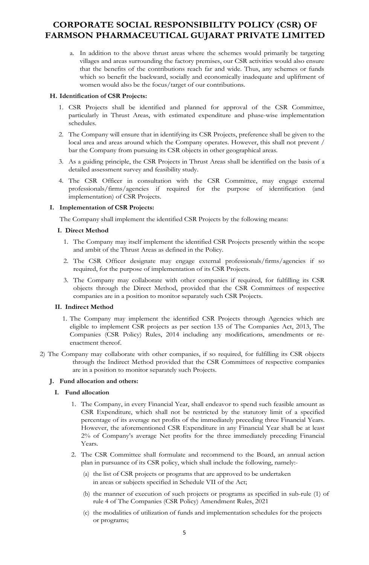a. In addition to the above thrust areas where the schemes would primarily be targeting villages and areas surrounding the factory premises, our CSR activities would also ensure that the benefits of the contributions reach far and wide. Thus, any schemes or funds which so benefit the backward, socially and economically inadequate and upliftment of women would also be the focus/target of our contributions.

### **H. Identification of CSR Projects:**

- 1. CSR Projects shall be identified and planned for approval of the CSR Committee, particularly in Thrust Areas, with estimated expenditure and phase-wise implementation schedules.
- 2. The Company will ensure that in identifying its CSR Projects, preference shall be given to the local area and areas around which the Company operates. However, this shall not prevent / bar the Company from pursuing its CSR objects in other geographical areas.
- 3. As a guiding principle, the CSR Projects in Thrust Areas shall be identified on the basis of a detailed assessment survey and feasibility study.
- 4. The CSR Officer in consultation with the CSR Committee, may engage external professionals/firms/agencies if required for the purpose of identification (and implementation) of CSR Projects.

### **I. Implementation of CSR Projects:**

The Company shall implement the identified CSR Projects by the following means:

### **I. Direct Method**

- 1. The Company may itself implement the identified CSR Projects presently within the scope and ambit of the Thrust Areas as defined in the Policy.
- 2. The CSR Officer designate may engage external professionals/firms/agencies if so required, for the purpose of implementation of its CSR Projects.
- 3. The Company may collaborate with other companies if required, for fulfilling its CSR objects through the Direct Method, provided that the CSR Committees of respective companies are in a position to monitor separately such CSR Projects.

### **II. Indirect Method**

- 1. The Company may implement the identified CSR Projects through Agencies which are eligible to implement CSR projects as per section 135 of The Companies Act, 2013, The Companies (CSR Policy) Rules, 2014 including any modifications, amendments or reenactment thereof.
- 2) The Company may collaborate with other companies, if so required, for fulfilling its CSR objects through the Indirect Method provided that the CSR Committees of respective companies are in a position to monitor separately such Projects.

## **J. Fund allocation and others:**

### **I. Fund allocation**

- 1. The Company, in every Financial Year, shall endeavor to spend such feasible amount as CSR Expenditure, which shall not be restricted by the statutory limit of a specified percentage of its average net profits of the immediately preceding three Financial Years. However, the aforementioned CSR Expenditure in any Financial Year shall be at least 2% of Company's average Net profits for the three immediately preceding Financial Years.
- 2. The CSR Committee shall formulate and recommend to the Board, an annual action plan in pursuance of its CSR policy, which shall include the following, namely:-
	- (a) the list of CSR projects or programs that are approved to be undertaken in areas or subjects specified in Schedule VII of the Act;
	- (b) the manner of execution of such projects or programs as specified in sub-rule (1) of rule 4 of The Companies (CSR Policy) Amendment Rules, 2021
	- (c) the modalities of utilization of funds and implementation schedules for the projects or programs;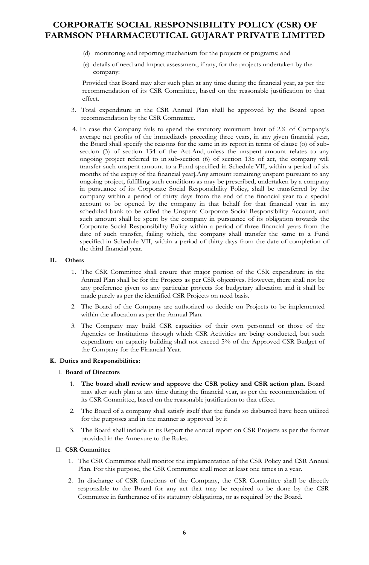- (d) monitoring and reporting mechanism for the projects or programs; and
- (e) details of need and impact assessment, if any, for the projects undertaken by the company:

Provided that Board may alter such plan at any time during the financial year, as per the recommendation of its CSR Committee, based on the reasonable justification to that effect.

- 3. Total expenditure in the CSR Annual Plan shall be approved by the Board upon recommendation by the CSR Committee.
- 4. In case the Company fails to spend the statutory minimum limit of 2% of Company's average net profits of the immediately preceding three years, in any given financial year, the Board shall specify the reasons for the same in its report in terms of clause (o) of subsection (3) of section 134 of the Act.And, unless the unspent amount relates to any ongoing project referred to in sub-section (6) of section 135 of act, the company will transfer such unspent amount to a Fund specified in Schedule VII, within a period of six months of the expiry of the financial year].Any amount remaining unspent pursuant to any ongoing project, fulfilling such conditions as may be prescribed, undertaken by a company in pursuance of its Corporate Social Responsibility Policy, shall be transferred by the company within a period of thirty days from the end of the financial year to a special account to be opened by the company in that behalf for that financial year in any scheduled bank to be called the Unspent Corporate Social Responsibility Account, and such amount shall be spent by the company in pursuance of its obligation towards the Corporate Social Responsibility Policy within a period of three financial years from the date of such transfer, failing which, the company shall transfer the same to a Fund specified in Schedule VII, within a period of thirty days from the date of completion of the third financial year.

### **II. Others**

- 1. The CSR Committee shall ensure that major portion of the CSR expenditure in the Annual Plan shall be for the Projects as per CSR objectives. However, there shall not be any preference given to any particular projects for budgetary allocation and it shall be made purely as per the identified CSR Projects on need basis.
- 2. The Board of the Company are authorized to decide on Projects to be implemented within the allocation as per the Annual Plan.
- 3. The Company may build CSR capacities of their own personnel or those of the Agencies or Institutions through which CSR Activities are being conducted, but such expenditure on capacity building shall not exceed 5% of the Approved CSR Budget of the Company for the Financial Year.

### **K. Duties and Responsibilities:**

### I. **Board of Directors**

- 1. **The board shall review and approve the CSR policy and CSR action plan.** Board may alter such plan at any time during the financial year, as per the recommendation of its CSR Committee, based on the reasonable justification to that effect.
- 2. The Board of a company shall satisfy itself that the funds so disbursed have been utilized for the purposes and in the manner as approved by it
- 3. The Board shall include in its Report the annual report on CSR Projects as per the format provided in the Annexure to the Rules.

### II. **CSR Committee**

- 1. The CSR Committee shall monitor the implementation of the CSR Policy and CSR Annual Plan. For this purpose, the CSR Committee shall meet at least one times in a year.
- 2. In discharge of CSR functions of the Company, the CSR Committee shall be directly responsible to the Board for any act that may be required to be done by the CSR Committee in furtherance of its statutory obligations, or as required by the Board.